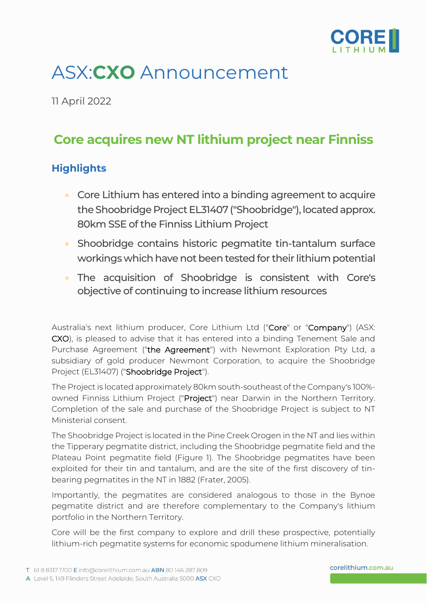

# ASX:**CXO** Announcement

11 April 2022

## **Core acquires new NT lithium project near Finniss**

### **Highlights**

- Core Lithium has entered into a binding agreement to acquire the Shoobridge Project EL31407 ("Shoobridge"), located approx. 80km SSE of the Finniss Lithium Project
- Shoobridge contains historic pegmatite tin-tantalum surface workings which have not been tested for their lithium potential
- The acquisition of Shoobridge is consistent with Core's objective of continuing to increase lithium resources

Australia's next lithium producer, Core Lithium Ltd ("Core" or "Company") (ASX: CXO), is pleased to advise that it has entered into a binding Tenement Sale and Purchase Agreement ("the Agreement") with Newmont Exploration Pty Ltd, a subsidiary of gold producer Newmont Corporation, to acquire the Shoobridge Project (EL31407) ("Shoobridge Project").

The Project is located approximately 80km south-southeast of the Company's 100% owned Finniss Lithium Project ("Project") near Darwin in the Northern Territory. Completion of the sale and purchase of the Shoobridge Project is subject to NT Ministerial consent.

The Shoobridge Project is located in the Pine Creek Orogen in the NT and lies within the Tipperary pegmatite district, including the Shoobridge pegmatite field and the Plateau Point pegmatite field (Figure 1). The Shoobridge pegmatites have been exploited for their tin and tantalum, and are the site of the first discovery of tinbearing pegmatites in the NT in 1882 (Frater, 2005).

Importantly, the pegmatites are considered analogous to those in the Bynoe pegmatite district and are therefore complementary to the Company's lithium portfolio in the Northern Territory.

Core will be the first company to explore and drill these prospective, potentially lithium-rich pegmatite systems for economic spodumene lithium mineralisation.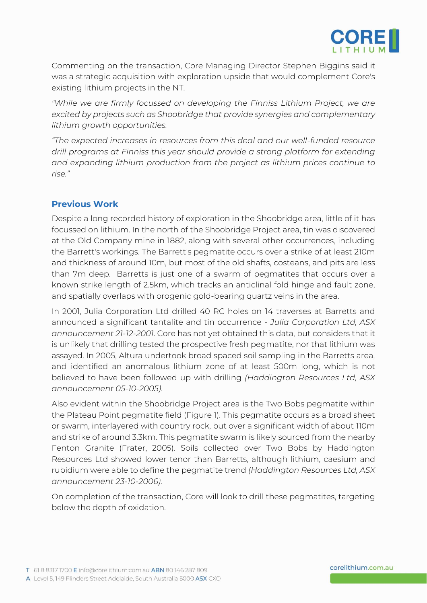

Commenting on the transaction, Core Managing Director Stephen Biggins said it was a strategic acquisition with exploration upside that would complement Core's existing lithium projects in the NT.

*"While we are firmly focussed on developing the Finniss Lithium Project, we are excited by projects such as Shoobridge that provide synergies and complementary lithium growth opportunities.*

*"The expected increases in resources from this deal and our well-funded resource drill programs at Finniss this year should provide a strong platform for extending and expanding lithium production from the project as lithium prices continue to rise."*

#### **Previous Work**

Despite a long recorded history of exploration in the Shoobridge area, little of it has focussed on lithium. In the north of the Shoobridge Project area, tin was discovered at the Old Company mine in 1882, along with several other occurrences, including the Barrett's workings. The Barrett's pegmatite occurs over a strike of at least 210m and thickness of around 10m, but most of the old shafts, costeans, and pits are less than 7m deep. Barretts is just one of a swarm of pegmatites that occurs over a known strike length of 2.5km, which tracks an anticlinal fold hinge and fault zone, and spatially overlaps with orogenic gold-bearing quartz veins in the area.

In 2001, Julia Corporation Ltd drilled 40 RC holes on 14 traverses at Barretts and announced a significant tantalite and tin occurrence - *Julia Corporation Ltd, ASX announcement 21-12-2001*. Core has not yet obtained this data, but considers that it is unlikely that drilling tested the prospective fresh pegmatite, nor that lithium was assayed. In 2005, Altura undertook broad spaced soil sampling in the Barretts area, and identified an anomalous lithium zone of at least 500m long, which is not believed to have been followed up with drilling *(Haddington Resources Ltd, ASX announcement 05-10-2005)*.

Also evident within the Shoobridge Project area is the Two Bobs pegmatite within the Plateau Point pegmatite field (Figure 1). This pegmatite occurs as a broad sheet or swarm, interlayered with country rock, but over a significant width of about 110m and strike of around 3.3km. This pegmatite swarm is likely sourced from the nearby Fenton Granite (Frater, 2005). Soils collected over Two Bobs by Haddington Resources Ltd showed lower tenor than Barretts, although lithium, caesium and rubidium were able to define the pegmatite trend *(Haddington Resources Ltd, ASX announcement 23-10-2006)*.

On completion of the transaction, Core will look to drill these pegmatites, targeting below the depth of oxidation.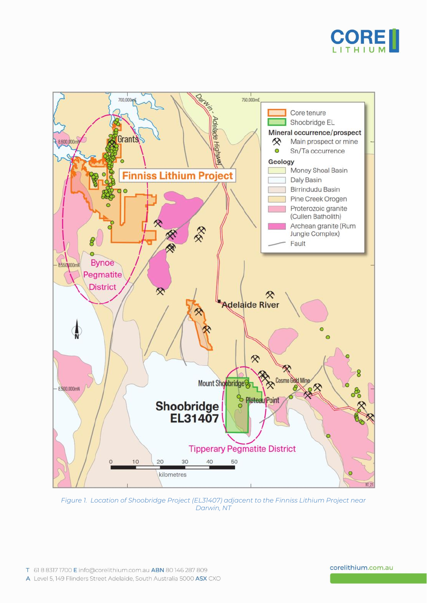



*Figure 1. Location of Shoobridge Project (EL31407) adjacent to the Finniss Lithium Project near Darwin, NT*

#### corelithium.com.au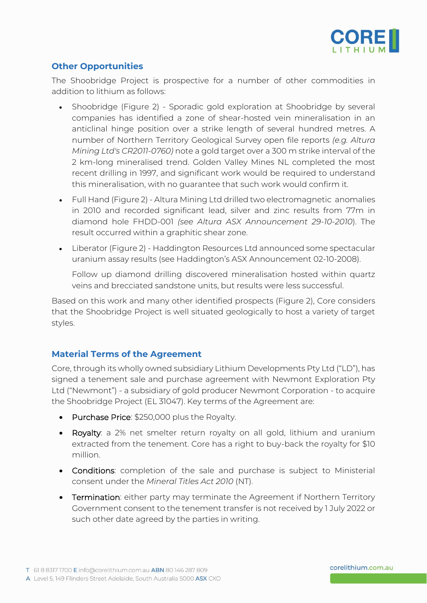

#### **Other Opportunities**

The Shoobridge Project is prospective for a number of other commodities in addition to lithium as follows:

- Shoobridge (Figure 2) Sporadic gold exploration at Shoobridge by several companies has identified a zone of shear-hosted vein mineralisation in an anticlinal hinge position over a strike length of several hundred metres. A number of Northern Territory Geological Survey open file reports *(e.g. Altura Mining Ltd's CR2011-0760)* note a gold target over a 300 m strike interval of the 2 km-long mineralised trend. Golden Valley Mines NL completed the most recent drilling in 1997, and significant work would be required to understand this mineralisation, with no guarantee that such work would confirm it.
- Full Hand (Figure 2) Altura Mining Ltd drilled two electromagnetic anomalies in 2010 and recorded significant lead, silver and zinc results from 77m in diamond hole FHDD-001 *(see Altura ASX Announcement 29-10-2010*). The result occurred within a graphitic shear zone.
- Liberator (Figure 2) Haddington Resources Ltd announced some spectacular uranium assay results (see Haddington's ASX Announcement 02-10-2008).

Follow up diamond drilling discovered mineralisation hosted within quartz veins and brecciated sandstone units, but results were less successful.

Based on this work and many other identified prospects (Figure 2), Core considers that the Shoobridge Project is well situated geologically to host a variety of target styles.

#### **Material Terms of the Agreement**

Core, through its wholly owned subsidiary Lithium Developments Pty Ltd ("LD"), has signed a tenement sale and purchase agreement with Newmont Exploration Pty Ltd ("Newmont") - a subsidiary of gold producer Newmont Corporation - to acquire the Shoobridge Project (EL 31047). Key terms of the Agreement are:

- Purchase Price: \$250,000 plus the Royalty.
- Royalty: a 2% net smelter return royalty on all gold, lithium and uranium extracted from the tenement. Core has a right to buy-back the royalty for \$10 million.
- Conditions: completion of the sale and purchase is subject to Ministerial consent under the *Mineral Titles Act 2010* (NT).
- Termination: either party may terminate the Agreement if Northern Territory Government consent to the tenement transfer is not received by 1 July 2022 or such other date agreed by the parties in writing.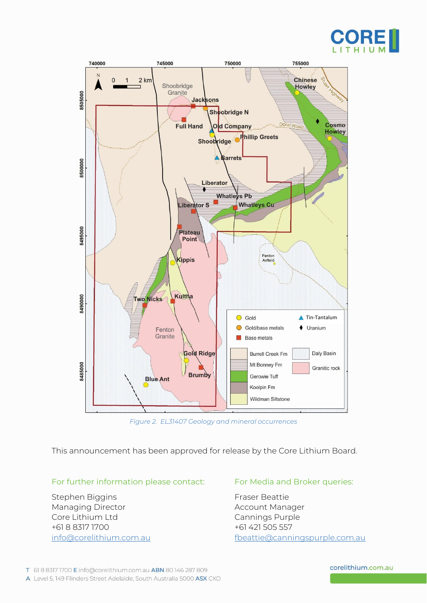



*Figure 2. EL31407 Geology and mineral occurrences*

This announcement has been approved for release by the Core Lithium Board.

#### For further information please contact: For Media and Broker queries:

Stephen Biggins Fraser Beattie Managing Director **Account Manager** Manager Core Lithium Ltd Cannings Purple +61 8 8317 1700

[info@corelithium.com.au](mailto:info@corelithium.com.au) [fbeattie@canningspurple.com.au](mailto:fbeattie@canningspurple.com.au)